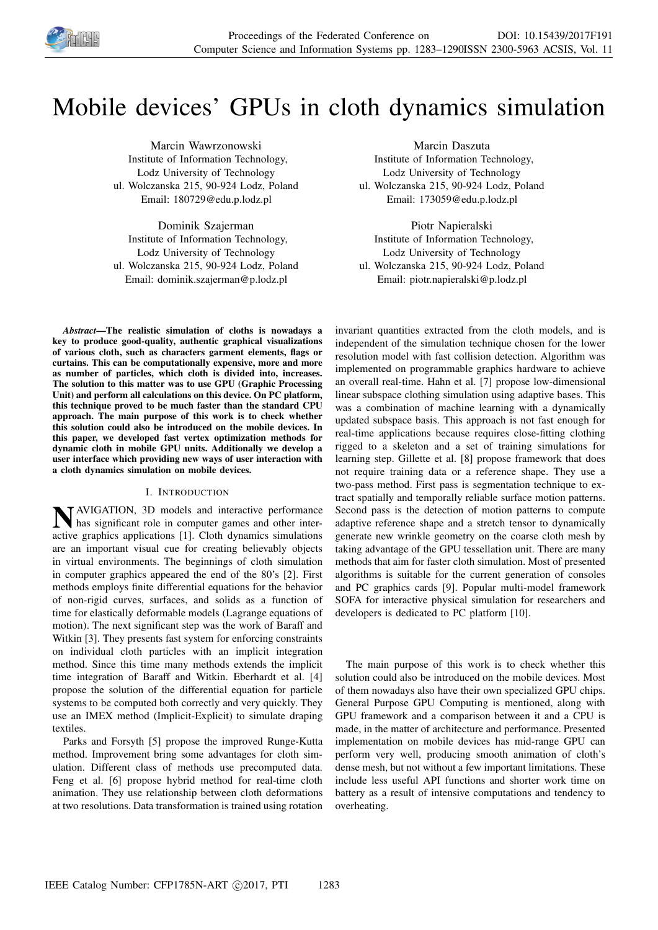

# Mobile devices' GPUs in cloth dynamics simulation

Marcin Wawrzonowski Institute of Information Technology, Lodz University of Technology ul. Wolczanska 215, 90-924 Lodz, Poland Email: 180729@edu.p.lodz.pl

Dominik Szajerman Institute of Information Technology, Lodz University of Technology ul. Wolczanska 215, 90-924 Lodz, Poland Email: dominik.szajerman@p.lodz.pl

Marcin Daszuta

Institute of Information Technology, Lodz University of Technology ul. Wolczanska 215, 90-924 Lodz, Poland Email: 173059@edu.p.lodz.pl

Piotr Napieralski Institute of Information Technology, Lodz University of Technology ul. Wolczanska 215, 90-924 Lodz, Poland Email: piotr.napieralski@p.lodz.pl

*Abstract*—The realistic simulation of cloths is nowadays a key to produce good-quality, authentic graphical visualizations of various cloth, such as characters garment elements, flags or curtains. This can be computationally expensive, more and more as number of particles, which cloth is divided into, increases. The solution to this matter was to use GPU (Graphic Processing Unit) and perform all calculations on this device. On PC platform, this technique proved to be much faster than the standard CPU approach. The main purpose of this work is to check whether this solution could also be introduced on the mobile devices. In this paper, we developed fast vertex optimization methods for dynamic cloth in mobile GPU units. Additionally we develop a user interface which providing new ways of user interaction with a cloth dynamics simulation on mobile devices.

## I. INTRODUCTION

**N** AVIGATION, 3D models and interactive performance<br>has significant role in computer games and other inter-AVIGATION, 3D models and interactive performance active graphics applications [1]. Cloth dynamics simulations are an important visual cue for creating believably objects in virtual environments. The beginnings of cloth simulation in computer graphics appeared the end of the 80's [2]. First methods employs finite differential equations for the behavior of non-rigid curves, surfaces, and solids as a function of time for elastically deformable models (Lagrange equations of motion). The next significant step was the work of Baraff and Witkin [3]. They presents fast system for enforcing constraints on individual cloth particles with an implicit integration method. Since this time many methods extends the implicit time integration of Baraff and Witkin. Eberhardt et al. [4] propose the solution of the differential equation for particle systems to be computed both correctly and very quickly. They use an IMEX method (Implicit-Explicit) to simulate draping textiles.

Parks and Forsyth [5] propose the improved Runge-Kutta method. Improvement bring some advantages for cloth simulation. Different class of methods use precomputed data. Feng et al. [6] propose hybrid method for real-time cloth animation. They use relationship between cloth deformations at two resolutions. Data transformation is trained using rotation invariant quantities extracted from the cloth models, and is independent of the simulation technique chosen for the lower resolution model with fast collision detection. Algorithm was implemented on programmable graphics hardware to achieve an overall real-time. Hahn et al. [7] propose low-dimensional linear subspace clothing simulation using adaptive bases. This was a combination of machine learning with a dynamically updated subspace basis. This approach is not fast enough for real-time applications because requires close-fitting clothing rigged to a skeleton and a set of training simulations for learning step. Gillette et al. [8] propose framework that does not require training data or a reference shape. They use a two-pass method. First pass is segmentation technique to extract spatially and temporally reliable surface motion patterns. Second pass is the detection of motion patterns to compute adaptive reference shape and a stretch tensor to dynamically generate new wrinkle geometry on the coarse cloth mesh by taking advantage of the GPU tessellation unit. There are many methods that aim for faster cloth simulation. Most of presented algorithms is suitable for the current generation of consoles and PC graphics cards [9]. Popular multi-model framework SOFA for interactive physical simulation for researchers and developers is dedicated to PC platform [10].

The main purpose of this work is to check whether this solution could also be introduced on the mobile devices. Most of them nowadays also have their own specialized GPU chips. General Purpose GPU Computing is mentioned, along with GPU framework and a comparison between it and a CPU is made, in the matter of architecture and performance. Presented implementation on mobile devices has mid-range GPU can perform very well, producing smooth animation of cloth's dense mesh, but not without a few important limitations. These include less useful API functions and shorter work time on battery as a result of intensive computations and tendency to overheating.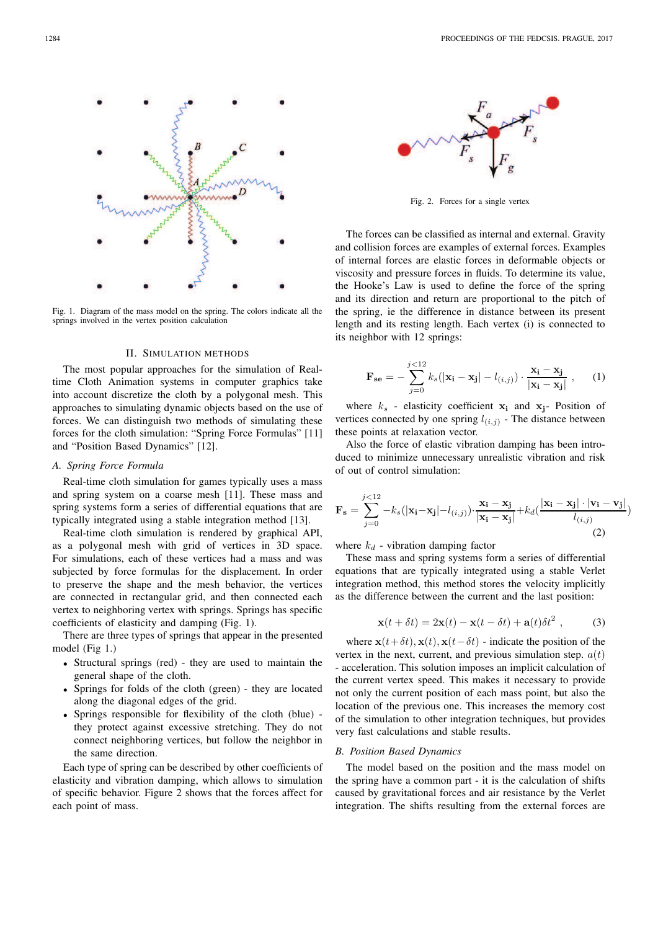

Fig. 1. Diagram of the mass model on the spring. The colors indicate all the springs involved in the vertex position calculation

#### II. SIMULATION METHODS

The most popular approaches for the simulation of Realtime Cloth Animation systems in computer graphics take into account discretize the cloth by a polygonal mesh. This approaches to simulating dynamic objects based on the use of forces. We can distinguish two methods of simulating these forces for the cloth simulation: "Spring Force Formulas" [11] and "Position Based Dynamics" [12].

## *A. Spring Force Formula*

Real-time cloth simulation for games typically uses a mass and spring system on a coarse mesh [11]. These mass and spring systems form a series of differential equations that are typically integrated using a stable integration method [13].

Real-time cloth simulation is rendered by graphical API, as a polygonal mesh with grid of vertices in 3D space. For simulations, each of these vertices had a mass and was subjected by force formulas for the displacement. In order to preserve the shape and the mesh behavior, the vertices are connected in rectangular grid, and then connected each vertex to neighboring vertex with springs. Springs has specific coefficients of elasticity and damping (Fig. 1).

There are three types of springs that appear in the presented model (Fig 1.)

- Structural springs (red) they are used to maintain the general shape of the cloth.
- Springs for folds of the cloth (green) they are located along the diagonal edges of the grid.
- Springs responsible for flexibility of the cloth (blue) they protect against excessive stretching. They do not connect neighboring vertices, but follow the neighbor in the same direction.

Each type of spring can be described by other coefficients of elasticity and vibration damping, which allows to simulation of specific behavior. Figure 2 shows that the forces affect for each point of mass.



Fig. 2. Forces for a single vertex

The forces can be classified as internal and external. Gravity and collision forces are examples of external forces. Examples of internal forces are elastic forces in deformable objects or viscosity and pressure forces in fluids. To determine its value, the Hooke's Law is used to define the force of the spring and its direction and return are proportional to the pitch of the spring, ie the difference in distance between its present length and its resting length. Each vertex (i) is connected to its neighbor with 12 springs:

$$
\mathbf{F}_{\mathbf{se}} = -\sum_{j=0}^{j<12} k_s (|\mathbf{x}_i - \mathbf{x}_j| - l_{(i,j)}) \cdot \frac{\mathbf{x}_i - \mathbf{x}_j}{|\mathbf{x}_i - \mathbf{x}_j|}, \qquad (1)
$$

where  $k_s$  - elasticity coefficient  $x_i$  and  $x_j$ - Position of vertices connected by one spring  $l_{(i,j)}$  - The distance between these points at relaxation vector.

Also the force of elastic vibration damping has been introduced to minimize unnecessary unrealistic vibration and risk of out of control simulation:

$$
\mathbf{F_s} = \sum_{j=0}^{j < 12} -k_s(|\mathbf{x_i} - \mathbf{x_j}| - l_{(i,j)}) \cdot \frac{\mathbf{x_i} - \mathbf{x_j}}{|\mathbf{x_i} - \mathbf{x_j}|} + k_d(\frac{|\mathbf{x_i} - \mathbf{x_j}| \cdot |\mathbf{v_i} - \mathbf{v_j}|}{l_{(i,j)}})
$$
\n(2)

where  $k_d$  - vibration damping factor

These mass and spring systems form a series of differential equations that are typically integrated using a stable Verlet integration method, this method stores the velocity implicitly as the difference between the current and the last position:

$$
\mathbf{x}(t + \delta t) = 2\mathbf{x}(t) - \mathbf{x}(t - \delta t) + \mathbf{a}(t)\delta t^2 , \qquad (3)
$$

where  $\mathbf{x}(t+\delta t), \mathbf{x}(t), \mathbf{x}(t-\delta t)$  - indicate the position of the vertex in the next, current, and previous simulation step.  $a(t)$ - acceleration. This solution imposes an implicit calculation of the current vertex speed. This makes it necessary to provide not only the current position of each mass point, but also the location of the previous one. This increases the memory cost of the simulation to other integration techniques, but provides very fast calculations and stable results.

## *B. Position Based Dynamics*

The model based on the position and the mass model on the spring have a common part - it is the calculation of shifts caused by gravitational forces and air resistance by the Verlet integration. The shifts resulting from the external forces are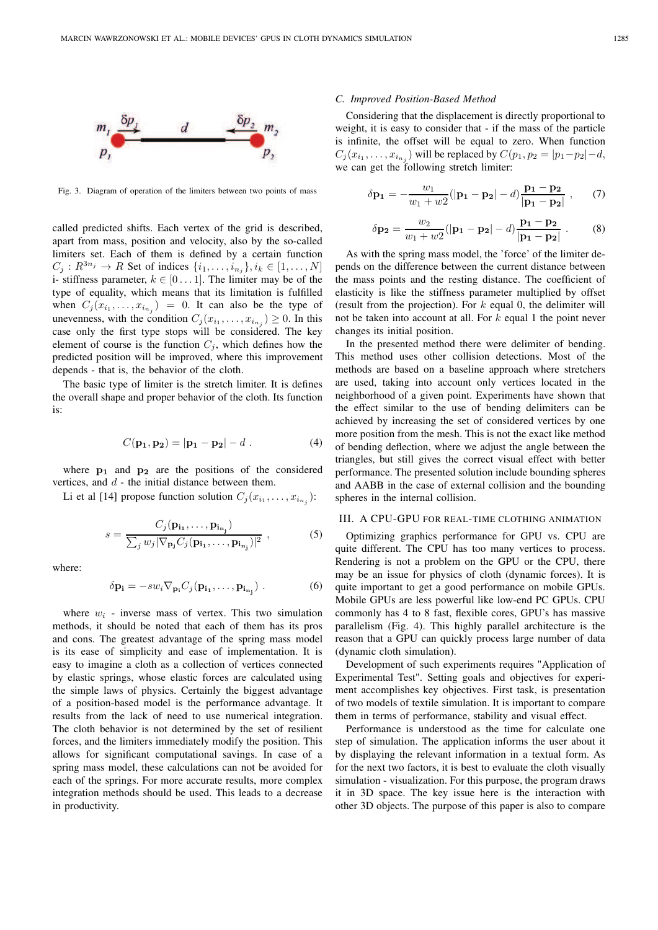

Fig. 3. Diagram of operation of the limiters between two points of mass

called predicted shifts. Each vertex of the grid is described, apart from mass, position and velocity, also by the so-called limiters set. Each of them is defined by a certain function  $C_j: R^{3n_j} \to R$  Set of indices  $\{i_1, \ldots, i_{n_j}\}, i_k \in [1, \ldots, N]$ i- stiffness parameter,  $k \in [0 \dots 1]$ . The limiter may be of the type of equality, which means that its limitation is fulfilled when  $C_j(x_{i_1},...,x_{i_{n_j}}) = 0$ . It can also be the type of unevenness, with the condition  $C_j(x_{i_1},...,x_{i_{n_j}}) \geq 0$ . In this case only the first type stops will be considered. The key element of course is the function  $C_i$ , which defines how the predicted position will be improved, where this improvement depends - that is, the behavior of the cloth.

The basic type of limiter is the stretch limiter. It is defines the overall shape and proper behavior of the cloth. Its function is:

$$
C(\mathbf{p_1}, \mathbf{p_2}) = |\mathbf{p_1} - \mathbf{p_2}| - d. \tag{4}
$$

where  $p_1$  and  $p_2$  are the positions of the considered vertices, and  $d$  - the initial distance between them.

Li et al [14] propose function solution  $C_j(x_{i_1},...,x_{i_{n_j}})$ :

$$
s = \frac{C_j(\mathbf{p}_{\mathbf{i}_1}, \dots, \mathbf{p}_{\mathbf{i}_{\mathbf{n}_j}})}{\sum_j w_j |\nabla_{\mathbf{p}_j} C_j(\mathbf{p}_{\mathbf{i}_1}, \dots, \mathbf{p}_{\mathbf{i}_{\mathbf{n}_j}})|^2}, \qquad (5)
$$

where:

$$
\delta \mathbf{p_i} = -sw_i \nabla_{\mathbf{p_i}} C_j(\mathbf{p_{i_1}}, \dots, \mathbf{p_{i_{n_j}}}) \tag{6}
$$

where  $w_i$  - inverse mass of vertex. This two simulation methods, it should be noted that each of them has its pros and cons. The greatest advantage of the spring mass model is its ease of simplicity and ease of implementation. It is easy to imagine a cloth as a collection of vertices connected by elastic springs, whose elastic forces are calculated using the simple laws of physics. Certainly the biggest advantage of a position-based model is the performance advantage. It results from the lack of need to use numerical integration. The cloth behavior is not determined by the set of resilient forces, and the limiters immediately modify the position. This allows for significant computational savings. In case of a spring mass model, these calculations can not be avoided for each of the springs. For more accurate results, more complex integration methods should be used. This leads to a decrease in productivity.

## *C. Improved Position-Based Method*

Considering that the displacement is directly proportional to weight, it is easy to consider that - if the mass of the particle is infinite, the offset will be equal to zero. When function  $C_j(x_{i_1}, \ldots, x_{i_{n_j}})$  will be replaced by  $C(p_1, p_2 = |p_1-p_2|-d,$ we can get the following stretch limiter:

$$
\delta \mathbf{p_1} = -\frac{w_1}{w_1 + w_2} (|\mathbf{p_1} - \mathbf{p_2}| - d) \frac{\mathbf{p_1} - \mathbf{p_2}}{|\mathbf{p_1} - \mathbf{p_2}|},\qquad(7)
$$

$$
\delta \mathbf{p_2} = \frac{w_2}{w_1 + w_2} (|\mathbf{p_1} - \mathbf{p_2}| - d) \frac{\mathbf{p_1} - \mathbf{p_2}}{|\mathbf{p_1} - \mathbf{p_2}|} .
$$
 (8)

As with the spring mass model, the 'force' of the limiter depends on the difference between the current distance between the mass points and the resting distance. The coefficient of elasticity is like the stiffness parameter multiplied by offset (result from the projection). For  $k$  equal 0, the delimiter will not be taken into account at all. For  $k$  equal 1 the point never changes its initial position.

In the presented method there were delimiter of bending. This method uses other collision detections. Most of the methods are based on a baseline approach where stretchers are used, taking into account only vertices located in the neighborhood of a given point. Experiments have shown that the effect similar to the use of bending delimiters can be achieved by increasing the set of considered vertices by one more position from the mesh. This is not the exact like method of bending deflection, where we adjust the angle between the triangles, but still gives the correct visual effect with better performance. The presented solution include bounding spheres and AABB in the case of external collision and the bounding spheres in the internal collision.

## III. A CPU-GPU FOR REAL-TIME CLOTHING ANIMATION

Optimizing graphics performance for GPU vs. CPU are quite different. The CPU has too many vertices to process. Rendering is not a problem on the GPU or the CPU, there may be an issue for physics of cloth (dynamic forces). It is quite important to get a good performance on mobile GPUs. Mobile GPUs are less powerful like low-end PC GPUs. CPU commonly has 4 to 8 fast, flexible cores, GPU's has massive parallelism (Fig. 4). This highly parallel architecture is the reason that a GPU can quickly process large number of data (dynamic cloth simulation).

Development of such experiments requires "Application of Experimental Test". Setting goals and objectives for experiment accomplishes key objectives. First task, is presentation of two models of textile simulation. It is important to compare them in terms of performance, stability and visual effect.

Performance is understood as the time for calculate one step of simulation. The application informs the user about it by displaying the relevant information in a textual form. As for the next two factors, it is best to evaluate the cloth visually simulation - visualization. For this purpose, the program draws it in 3D space. The key issue here is the interaction with other 3D objects. The purpose of this paper is also to compare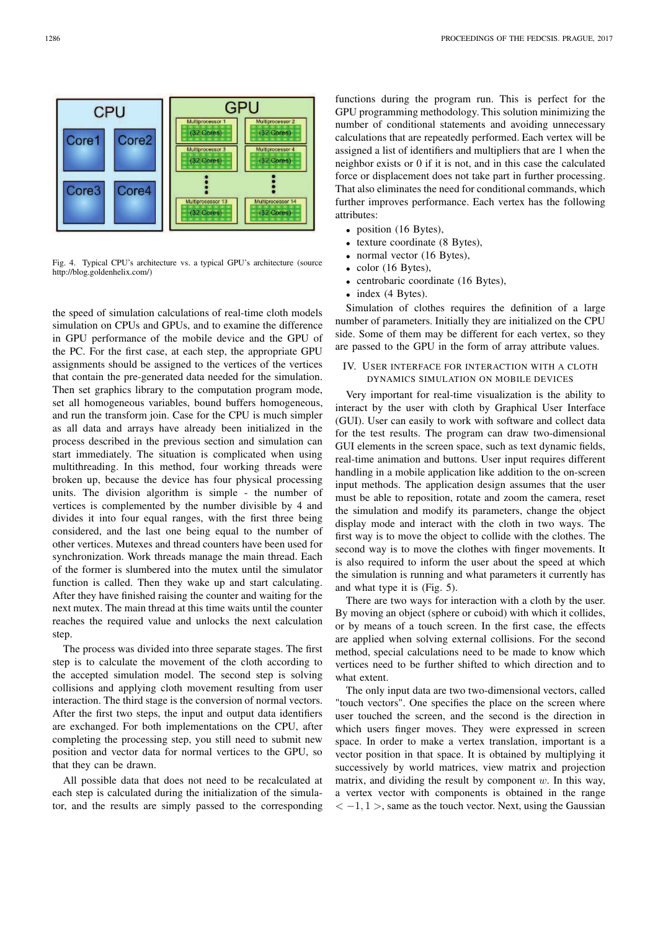

Fig. 4. Typical CPU's architecture vs. a typical GPU's architecture (source http://blog.goldenhelix.com/)

the speed of simulation calculations of real-time cloth models simulation on CPUs and GPUs, and to examine the difference in GPU performance of the mobile device and the GPU of the PC. For the first case, at each step, the appropriate GPU assignments should be assigned to the vertices of the vertices that contain the pre-generated data needed for the simulation. Then set graphics library to the computation program mode, set all homogeneous variables, bound buffers homogeneous, and run the transform join. Case for the CPU is much simpler as all data and arrays have already been initialized in the process described in the previous section and simulation can start immediately. The situation is complicated when using multithreading. In this method, four working threads were broken up, because the device has four physical processing units. The division algorithm is simple - the number of vertices is complemented by the number divisible by 4 and divides it into four equal ranges, with the first three being considered, and the last one being equal to the number of other vertices. Mutexes and thread counters have been used for synchronization. Work threads manage the main thread. Each of the former is slumbered into the mutex until the simulator function is called. Then they wake up and start calculating. After they have finished raising the counter and waiting for the next mutex. The main thread at this time waits until the counter reaches the required value and unlocks the next calculation step.

The process was divided into three separate stages. The first step is to calculate the movement of the cloth according to the accepted simulation model. The second step is solving collisions and applying cloth movement resulting from user interaction. The third stage is the conversion of normal vectors. After the first two steps, the input and output data identifiers are exchanged. For both implementations on the CPU, after completing the processing step, you still need to submit new position and vector data for normal vertices to the GPU, so that they can be drawn.

All possible data that does not need to be recalculated at each step is calculated during the initialization of the simulator, and the results are simply passed to the corresponding

functions during the program run. This is perfect for the GPU programming methodology. This solution minimizing the number of conditional statements and avoiding unnecessary calculations that are repeatedly performed. Each vertex will be assigned a list of identifiers and multipliers that are 1 when the neighbor exists or 0 if it is not, and in this case the calculated force or displacement does not take part in further processing. That also eliminates the need for conditional commands, which further improves performance. Each vertex has the following attributes:

- position (16 Bytes),
- texture coordinate (8 Bytes),
- normal vector (16 Bytes),
- color (16 Bytes),
- centrobaric coordinate (16 Bytes),
- index (4 Bytes).

Simulation of clothes requires the definition of a large number of parameters. Initially they are initialized on the CPU side. Some of them may be different for each vertex, so they are passed to the GPU in the form of array attribute values.

## IV. USER INTERFACE FOR INTERACTION WITH A CLOTH DYNAMICS SIMULATION ON MOBILE DEVICES

Very important for real-time visualization is the ability to interact by the user with cloth by Graphical User Interface (GUI). User can easily to work with software and collect data for the test results. The program can draw two-dimensional GUI elements in the screen space, such as text dynamic fields, real-time animation and buttons. User input requires different handling in a mobile application like addition to the on-screen input methods. The application design assumes that the user must be able to reposition, rotate and zoom the camera, reset the simulation and modify its parameters, change the object display mode and interact with the cloth in two ways. The first way is to move the object to collide with the clothes. The second way is to move the clothes with finger movements. It is also required to inform the user about the speed at which the simulation is running and what parameters it currently has and what type it is (Fig. 5).

There are two ways for interaction with a cloth by the user. By moving an object (sphere or cuboid) with which it collides, or by means of a touch screen. In the first case, the effects are applied when solving external collisions. For the second method, special calculations need to be made to know which vertices need to be further shifted to which direction and to what extent.

The only input data are two two-dimensional vectors, called "touch vectors". One specifies the place on the screen where user touched the screen, and the second is the direction in which users finger moves. They were expressed in screen space. In order to make a vertex translation, important is a vector position in that space. It is obtained by multiplying it successively by world matrices, view matrix and projection matrix, and dividing the result by component  $w$ . In this way, a vertex vector with components is obtained in the range  $<-1,1>$ , same as the touch vector. Next, using the Gaussian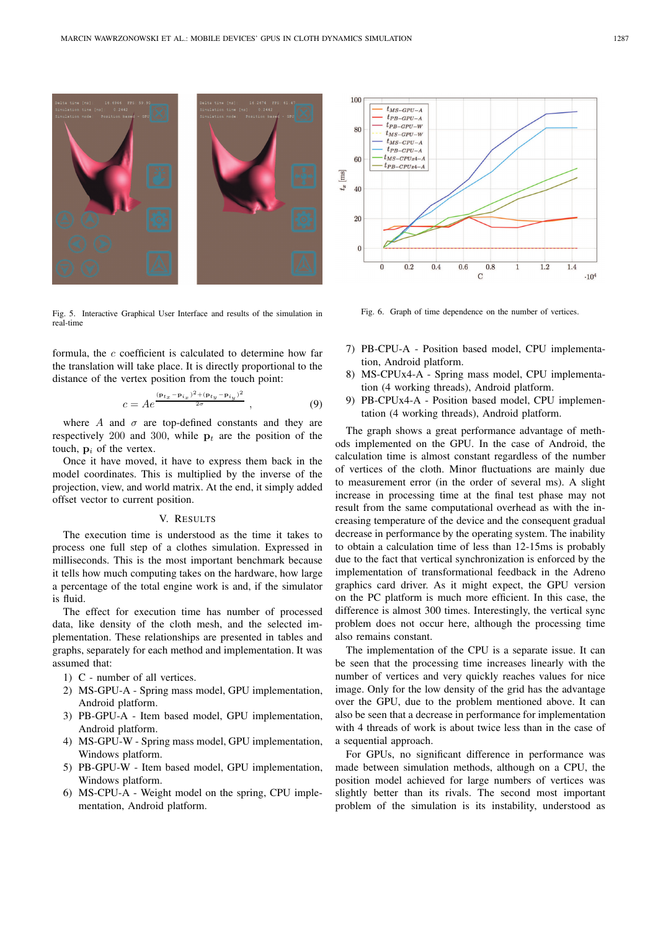

Fig. 5. Interactive Graphical User Interface and results of the simulation in real-time

formula, the c coefficient is calculated to determine how far the translation will take place. It is directly proportional to the distance of the vertex position from the touch point:

$$
c = Ae^{\frac{(\mathbf{p}_{t_x} - \mathbf{p}_{i_x})^2 + (\mathbf{p}_{t_y} - \mathbf{p}_{i_y})^2}{2\sigma}}, \qquad (9)
$$

where A and  $\sigma$  are top-defined constants and they are respectively 200 and 300, while  $\mathbf{p}_t$  are the position of the touch,  $\mathbf{p}_i$  of the vertex.

Once it have moved, it have to express them back in the model coordinates. This is multiplied by the inverse of the projection, view, and world matrix. At the end, it simply added offset vector to current position.

#### V. RESULTS

The execution time is understood as the time it takes to process one full step of a clothes simulation. Expressed in milliseconds. This is the most important benchmark because it tells how much computing takes on the hardware, how large a percentage of the total engine work is and, if the simulator is fluid.

The effect for execution time has number of processed data, like density of the cloth mesh, and the selected implementation. These relationships are presented in tables and graphs, separately for each method and implementation. It was assumed that:

- 1) C number of all vertices.
- 2) MS-GPU-A Spring mass model, GPU implementation, Android platform.
- 3) PB-GPU-A Item based model, GPU implementation, Android platform.
- 4) MS-GPU-W Spring mass model, GPU implementation, Windows platform.
- 5) PB-GPU-W Item based model, GPU implementation, Windows platform.
- 6) MS-CPU-A Weight model on the spring, CPU implementation, Android platform.



Fig. 6. Graph of time dependence on the number of vertices.

- 7) PB-CPU-A Position based model, CPU implementation, Android platform.
- 8) MS-CPUx4-A Spring mass model, CPU implementation (4 working threads), Android platform.
- 9) PB-CPUx4-A Position based model, CPU implementation (4 working threads), Android platform.

The graph shows a great performance advantage of methods implemented on the GPU. In the case of Android, the calculation time is almost constant regardless of the number of vertices of the cloth. Minor fluctuations are mainly due to measurement error (in the order of several ms). A slight increase in processing time at the final test phase may not result from the same computational overhead as with the increasing temperature of the device and the consequent gradual decrease in performance by the operating system. The inability to obtain a calculation time of less than 12-15ms is probably due to the fact that vertical synchronization is enforced by the implementation of transformational feedback in the Adreno graphics card driver. As it might expect, the GPU version on the PC platform is much more efficient. In this case, the difference is almost 300 times. Interestingly, the vertical sync problem does not occur here, although the processing time also remains constant.

The implementation of the CPU is a separate issue. It can be seen that the processing time increases linearly with the number of vertices and very quickly reaches values for nice image. Only for the low density of the grid has the advantage over the GPU, due to the problem mentioned above. It can also be seen that a decrease in performance for implementation with 4 threads of work is about twice less than in the case of a sequential approach.

For GPUs, no significant difference in performance was made between simulation methods, although on a CPU, the position model achieved for large numbers of vertices was slightly better than its rivals. The second most important problem of the simulation is its instability, understood as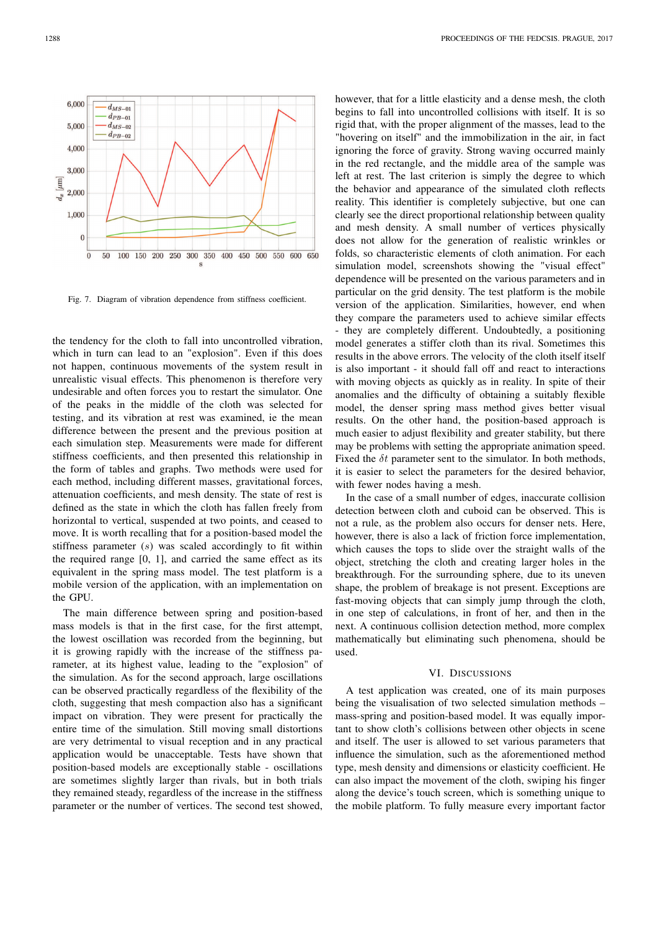Fig. 7. Diagram of vibration dependence from stiffness coefficient.

the tendency for the cloth to fall into uncontrolled vibration, which in turn can lead to an "explosion". Even if this does not happen, continuous movements of the system result in unrealistic visual effects. This phenomenon is therefore very undesirable and often forces you to restart the simulator. One of the peaks in the middle of the cloth was selected for testing, and its vibration at rest was examined, ie the mean difference between the present and the previous position at each simulation step. Measurements were made for different stiffness coefficients, and then presented this relationship in the form of tables and graphs. Two methods were used for each method, including different masses, gravitational forces, attenuation coefficients, and mesh density. The state of rest is defined as the state in which the cloth has fallen freely from horizontal to vertical, suspended at two points, and ceased to move. It is worth recalling that for a position-based model the stiffness parameter (s) was scaled accordingly to fit within the required range [0, 1], and carried the same effect as its equivalent in the spring mass model. The test platform is a mobile version of the application, with an implementation on the GPU.

The main difference between spring and position-based mass models is that in the first case, for the first attempt, the lowest oscillation was recorded from the beginning, but it is growing rapidly with the increase of the stiffness parameter, at its highest value, leading to the "explosion" of the simulation. As for the second approach, large oscillations can be observed practically regardless of the flexibility of the cloth, suggesting that mesh compaction also has a significant impact on vibration. They were present for practically the entire time of the simulation. Still moving small distortions are very detrimental to visual reception and in any practical application would be unacceptable. Tests have shown that position-based models are exceptionally stable - oscillations are sometimes slightly larger than rivals, but in both trials they remained steady, regardless of the increase in the stiffness parameter or the number of vertices. The second test showed,

however, that for a little elasticity and a dense mesh, the cloth begins to fall into uncontrolled collisions with itself. It is so rigid that, with the proper alignment of the masses, lead to the "hovering on itself" and the immobilization in the air, in fact ignoring the force of gravity. Strong waving occurred mainly in the red rectangle, and the middle area of the sample was left at rest. The last criterion is simply the degree to which the behavior and appearance of the simulated cloth reflects reality. This identifier is completely subjective, but one can clearly see the direct proportional relationship between quality and mesh density. A small number of vertices physically does not allow for the generation of realistic wrinkles or folds, so characteristic elements of cloth animation. For each simulation model, screenshots showing the "visual effect" dependence will be presented on the various parameters and in particular on the grid density. The test platform is the mobile version of the application. Similarities, however, end when they compare the parameters used to achieve similar effects - they are completely different. Undoubtedly, a positioning model generates a stiffer cloth than its rival. Sometimes this results in the above errors. The velocity of the cloth itself itself is also important - it should fall off and react to interactions with moving objects as quickly as in reality. In spite of their anomalies and the difficulty of obtaining a suitably flexible model, the denser spring mass method gives better visual results. On the other hand, the position-based approach is much easier to adjust flexibility and greater stability, but there may be problems with setting the appropriate animation speed. Fixed the  $\delta t$  parameter sent to the simulator. In both methods, it is easier to select the parameters for the desired behavior, with fewer nodes having a mesh.

In the case of a small number of edges, inaccurate collision detection between cloth and cuboid can be observed. This is not a rule, as the problem also occurs for denser nets. Here, however, there is also a lack of friction force implementation, which causes the tops to slide over the straight walls of the object, stretching the cloth and creating larger holes in the breakthrough. For the surrounding sphere, due to its uneven shape, the problem of breakage is not present. Exceptions are fast-moving objects that can simply jump through the cloth, in one step of calculations, in front of her, and then in the next. A continuous collision detection method, more complex mathematically but eliminating such phenomena, should be used.

## VI. DISCUSSIONS

A test application was created, one of its main purposes being the visualisation of two selected simulation methods – mass-spring and position-based model. It was equally important to show cloth's collisions between other objects in scene and itself. The user is allowed to set various parameters that influence the simulation, such as the aforementioned method type, mesh density and dimensions or elasticity coefficient. He can also impact the movement of the cloth, swiping his finger along the device's touch screen, which is something unique to the mobile platform. To fully measure every important factor

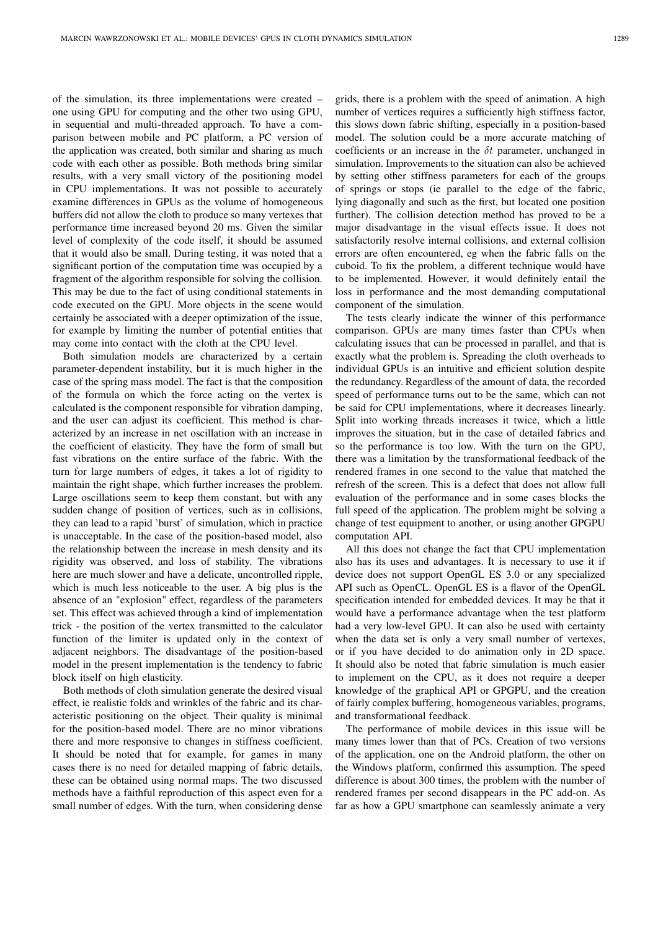of the simulation, its three implementations were created – one using GPU for computing and the other two using GPU, in sequential and multi-threaded approach. To have a comparison between mobile and PC platform, a PC version of the application was created, both similar and sharing as much code with each other as possible. Both methods bring similar results, with a very small victory of the positioning model in CPU implementations. It was not possible to accurately examine differences in GPUs as the volume of homogeneous buffers did not allow the cloth to produce so many vertexes that performance time increased beyond 20 ms. Given the similar level of complexity of the code itself, it should be assumed that it would also be small. During testing, it was noted that a significant portion of the computation time was occupied by a fragment of the algorithm responsible for solving the collision. This may be due to the fact of using conditional statements in code executed on the GPU. More objects in the scene would certainly be associated with a deeper optimization of the issue, for example by limiting the number of potential entities that may come into contact with the cloth at the CPU level.

Both simulation models are characterized by a certain parameter-dependent instability, but it is much higher in the case of the spring mass model. The fact is that the composition of the formula on which the force acting on the vertex is calculated is the component responsible for vibration damping, and the user can adjust its coefficient. This method is characterized by an increase in net oscillation with an increase in the coefficient of elasticity. They have the form of small but fast vibrations on the entire surface of the fabric. With the turn for large numbers of edges, it takes a lot of rigidity to maintain the right shape, which further increases the problem. Large oscillations seem to keep them constant, but with any sudden change of position of vertices, such as in collisions, they can lead to a rapid 'burst' of simulation, which in practice is unacceptable. In the case of the position-based model, also the relationship between the increase in mesh density and its rigidity was observed, and loss of stability. The vibrations here are much slower and have a delicate, uncontrolled ripple, which is much less noticeable to the user. A big plus is the absence of an "explosion" effect, regardless of the parameters set. This effect was achieved through a kind of implementation trick - the position of the vertex transmitted to the calculator function of the limiter is updated only in the context of adjacent neighbors. The disadvantage of the position-based model in the present implementation is the tendency to fabric block itself on high elasticity.

Both methods of cloth simulation generate the desired visual effect, ie realistic folds and wrinkles of the fabric and its characteristic positioning on the object. Their quality is minimal for the position-based model. There are no minor vibrations there and more responsive to changes in stiffness coefficient. It should be noted that for example, for games in many cases there is no need for detailed mapping of fabric details, these can be obtained using normal maps. The two discussed methods have a faithful reproduction of this aspect even for a small number of edges. With the turn, when considering dense

grids, there is a problem with the speed of animation. A high number of vertices requires a sufficiently high stiffness factor, this slows down fabric shifting, especially in a position-based model. The solution could be a more accurate matching of coefficients or an increase in the  $\delta t$  parameter, unchanged in simulation. Improvements to the situation can also be achieved by setting other stiffness parameters for each of the groups of springs or stops (ie parallel to the edge of the fabric, lying diagonally and such as the first, but located one position further). The collision detection method has proved to be a major disadvantage in the visual effects issue. It does not satisfactorily resolve internal collisions, and external collision errors are often encountered, eg when the fabric falls on the cuboid. To fix the problem, a different technique would have to be implemented. However, it would definitely entail the loss in performance and the most demanding computational component of the simulation.

The tests clearly indicate the winner of this performance comparison. GPUs are many times faster than CPUs when calculating issues that can be processed in parallel, and that is exactly what the problem is. Spreading the cloth overheads to individual GPUs is an intuitive and efficient solution despite the redundancy. Regardless of the amount of data, the recorded speed of performance turns out to be the same, which can not be said for CPU implementations, where it decreases linearly. Split into working threads increases it twice, which a little improves the situation, but in the case of detailed fabrics and so the performance is too low. With the turn on the GPU, there was a limitation by the transformational feedback of the rendered frames in one second to the value that matched the refresh of the screen. This is a defect that does not allow full evaluation of the performance and in some cases blocks the full speed of the application. The problem might be solving a change of test equipment to another, or using another GPGPU computation API.

All this does not change the fact that CPU implementation also has its uses and advantages. It is necessary to use it if device does not support OpenGL ES 3.0 or any specialized API such as OpenCL. OpenGL ES is a flavor of the OpenGL specification intended for embedded devices. It may be that it would have a performance advantage when the test platform had a very low-level GPU. It can also be used with certainty when the data set is only a very small number of vertexes, or if you have decided to do animation only in 2D space. It should also be noted that fabric simulation is much easier to implement on the CPU, as it does not require a deeper knowledge of the graphical API or GPGPU, and the creation of fairly complex buffering, homogeneous variables, programs, and transformational feedback.

The performance of mobile devices in this issue will be many times lower than that of PCs. Creation of two versions of the application, one on the Android platform, the other on the Windows platform, confirmed this assumption. The speed difference is about 300 times, the problem with the number of rendered frames per second disappears in the PC add-on. As far as how a GPU smartphone can seamlessly animate a very